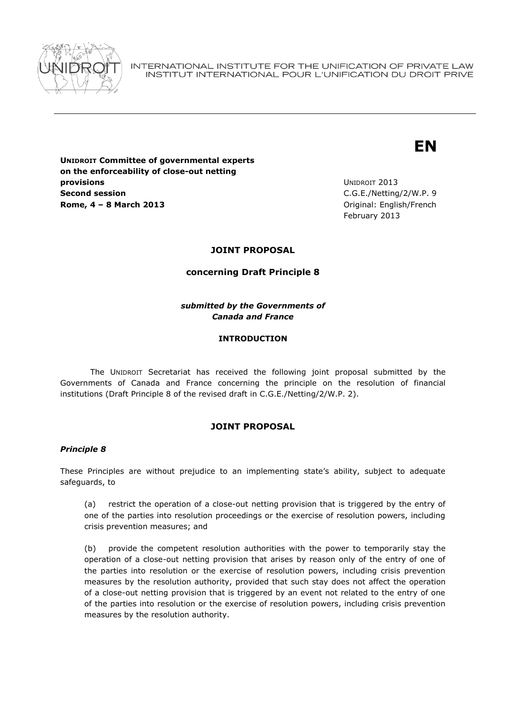

INTERNATIONAL INSTITUTE FOR THE UNIFICATION OF PRIVATE LAW INSTITUT INTERNATIONAL POUR L'UNIFICATION DU DROIT PRIVE

# **EN**

**UNIDROIT Committee of governmental experts on the enforceability of close-out netting provisions Second session Rome, 4 – 8 March 2013** Original: English/French

UNIDROIT 2013 C.G.E./Netting/2/W.P. 9 February 2013

## **JOINT PROPOSAL**

### **concerning Draft Principle 8**

*submitted by the Governments of Canada and France*

### **INTRODUCTION**

The UNIDROIT Secretariat has received the following joint proposal submitted by the Governments of Canada and France concerning the principle on the resolution of financial institutions (Draft Principle 8 of the revised draft in C.G.E./Netting/2/W.P. 2).

### **JOINT PROPOSAL**

### *Principle 8*

These Principles are without prejudice to an implementing state's ability, subject to adequate safeguards, to

(a) restrict the operation of a close-out netting provision that is triggered by the entry of one of the parties into resolution proceedings or the exercise of resolution powers, including crisis prevention measures; and

(b) provide the competent resolution authorities with the power to temporarily stay the operation of a close-out netting provision that arises by reason only of the entry of one of the parties into resolution or the exercise of resolution powers, including crisis prevention measures by the resolution authority, provided that such stay does not affect the operation of a close-out netting provision that is triggered by an event not related to the entry of one of the parties into resolution or the exercise of resolution powers, including crisis prevention measures by the resolution authority.